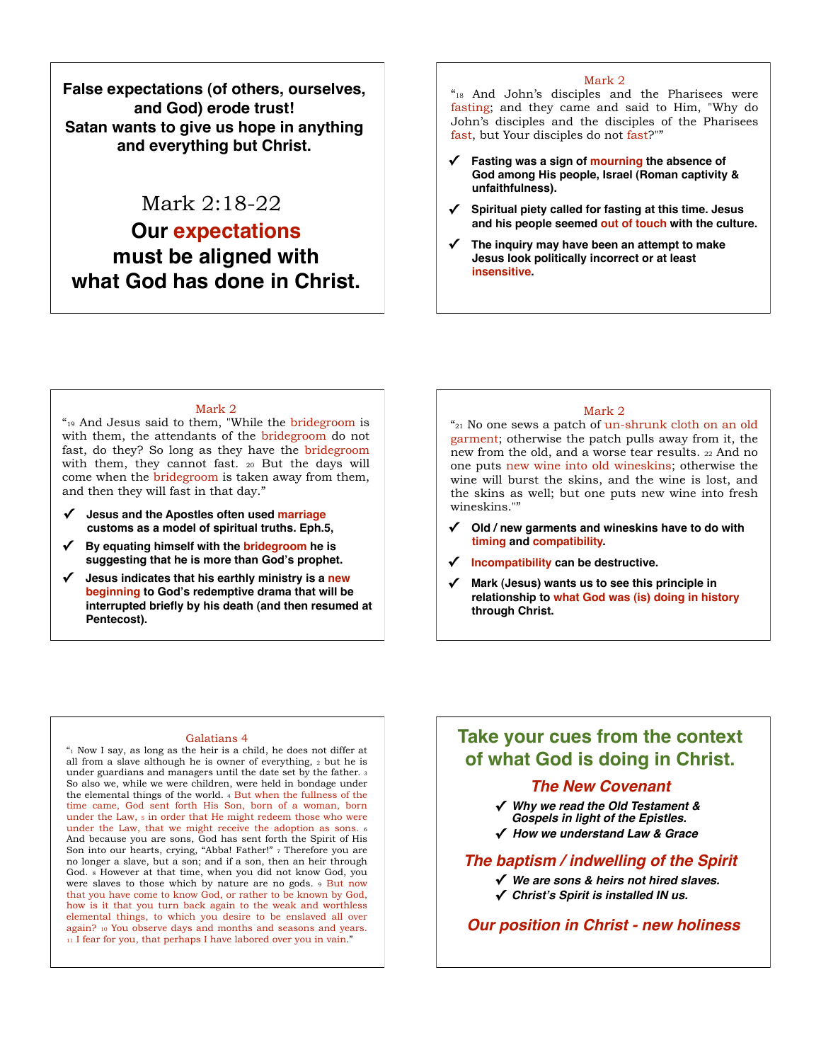**False expectations (of others, ourselves, and God) erode trust! Satan wants to give us hope in anything and everything but Christ.**

# Mark 2:18-22

# **Our expectations must be aligned with what God has done in Christ.**

#### Mark 2

"18 And John's disciples and the Pharisees were fasting; and they came and said to Him, "Why do John's disciples and the disciples of the Pharisees fast, but Your disciples do not fast?""

- **✓ Fasting was a sign of mourning the absence of God among His people, Israel (Roman captivity & unfaithfulness).**
- **✓ Spiritual piety called for fasting at this time. Jesus and his people seemed out of touch with the culture.**
- **✓ The inquiry may have been an attempt to make Jesus look politically incorrect or at least insensitive.**

#### Mark 2

"19 And Jesus said to them, "While the bridegroom is with them, the attendants of the bridegroom do not fast, do they? So long as they have the bridegroom with them, they cannot fast. 20 But the days will come when the bridegroom is taken away from them, and then they will fast in that day."

- **✓ Jesus and the Apostles often used marriage customs as a model of spiritual truths. Eph.5,**
- **✓ By equating himself with the bridegroom he is suggesting that he is more than God's prophet.**
- **✓ Jesus indicates that his earthly ministry is a new beginning to God's redemptive drama that will be interrupted briefly by his death (and then resumed at Pentecost).**

### Mark 2

"21 No one sews a patch of un-shrunk cloth on an old garment; otherwise the patch pulls away from it, the new from the old, and a worse tear results. 22 And no one puts new wine into old wineskins; otherwise the wine will burst the skins, and the wine is lost, and the skins as well; but one puts new wine into fresh wineskins.""

- **✓ Old / new garments and wineskins have to do with timing and compatibility.**
- **✓ Incompatibility can be destructive.**
- **✓ Mark (Jesus) wants us to see this principle in relationship to what God was (is) doing in history through Christ.**

#### Galatians 4

 $"$ <sup>1</sup> Now I say, as long as the heir is a child, he does not differ at all from a slave although he is owner of everything, 2 but he is under guardians and managers until the date set by the father. 3 So also we, while we were children, were held in bondage under the elemental things of the world. 4 But when the fullness of the time came, God sent forth His Son, born of a woman, born under the Law,  $\frac{1}{5}$  in order that He might redeem those who were under the Law, that we might receive the adoption as sons. <sup>6</sup> And because you are sons, God has sent forth the Spirit of His Son into our hearts, crying, "Abba! Father!" 7 Therefore you are no longer a slave, but a son; and if a son, then an heir through God. 8 However at that time, when you did not know God, you were slaves to those which by nature are no gods. 9 But now that you have come to know God, or rather to be known by God, how is it that you turn back again to the weak and worthless elemental things, to which you desire to be enslaved all over again? 10 You observe days and months and seasons and years. 11 I fear for you, that perhaps I have labored over you in vain."

## **Take your cues from the context of what God is doing in Christ.**

### *The New Covenant*

**✓** *Why we read the Old Testament & Gospels in light of the Epistles.*

**✓** *How we understand Law & Grace*

### *The baptism / indwelling of the Spirit*

- **✓** *We are sons & heirs not hired slaves.*
- **✓** *Christ***'***s Spirit is installed IN us.*

*Our position in Christ - new holiness*